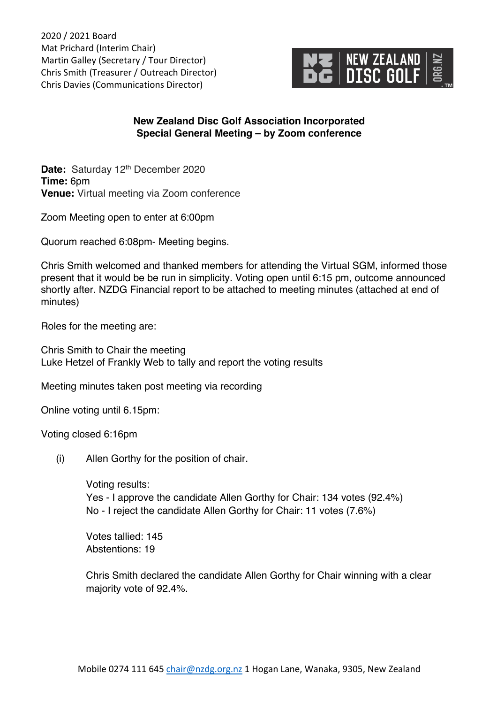2020 / 2021 Board Mat Prichard (Interim Chair) Martin Galley (Secretary / Tour Director) Chris Smith (Treasurer / Outreach Director) Chris Davies (Communications Director)



## **New Zealand Disc Golf Association Incorporated Special General Meeting – by Zoom conference**

Date: Saturday 12<sup>th</sup> December 2020 **Time:** 6pm **Venue:** Virtual meeting via Zoom conference

Zoom Meeting open to enter at 6:00pm

Quorum reached 6:08pm- Meeting begins.

Chris Smith welcomed and thanked members for attending the Virtual SGM, informed those present that it would be be run in simplicity. Voting open until 6:15 pm, outcome announced shortly after. NZDG Financial report to be attached to meeting minutes (attached at end of minutes)

Roles for the meeting are:

Chris Smith to Chair the meeting Luke Hetzel of Frankly Web to tally and report the voting results

Meeting minutes taken post meeting via recording

Online voting until 6.15pm:

Voting closed 6:16pm

(i) Allen Gorthy for the position of chair.

Voting results: Yes - I approve the candidate Allen Gorthy for Chair: 134 votes (92.4%) No - I reject the candidate Allen Gorthy for Chair: 11 votes (7.6%)

Votes tallied: 145 Abstentions: 19

Chris Smith declared the candidate Allen Gorthy for Chair winning with a clear majority vote of 92.4%.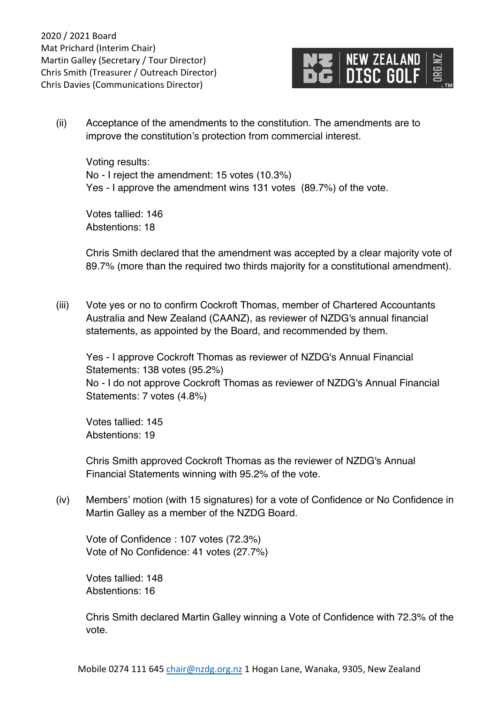

(ii) Acceptance of the amendments to the constitution. The amendments are to improve the constitution's protection from commercial interest.

Voting results: No - I reject the amendment: 15 votes (10.3%) Yes - I approve the amendment wins 131 votes (89.7%) of the vote.

Votes tallied: 146 Abstentions: 18

Chris Smith declared that the amendment was accepted by a clear majority vote of 89.7% (more than the required two thirds majority for a constitutional amendment).

(iii) Vote yes or no to confirm Cockroft Thomas, member of Chartered Accountants Australia and New Zealand (CAANZ), as reviewer of NZDG's annual financial statements, as appointed by the Board, and recommended by them.

Yes - I approve Cockroft Thomas as reviewer of NZDG's Annual Financial Statements: 138 votes (95.2%) No - I do not approve Cockroft Thomas as reviewer of NZDG's Annual Financial Statements: 7 votes (4.8%)

Votes tallied: 145 Abstentions: 19

Chris Smith approved Cockroft Thomas as the reviewer of NZDG's Annual Financial Statements winning with 95.2% of the vote.

(iv) Members' motion (with 15 signatures) for a vote of Confidence or No Confidence in Martin Galley as a member of the NZDG Board.

Vote of Confidence : 107 votes (72.3%) Vote of No Confidence: 41 votes (27.7%)

Votes tallied: 148 Abstentions: 16

Chris Smith declared Martin Galley winning a Vote of Confidence with 72.3% of the vote.